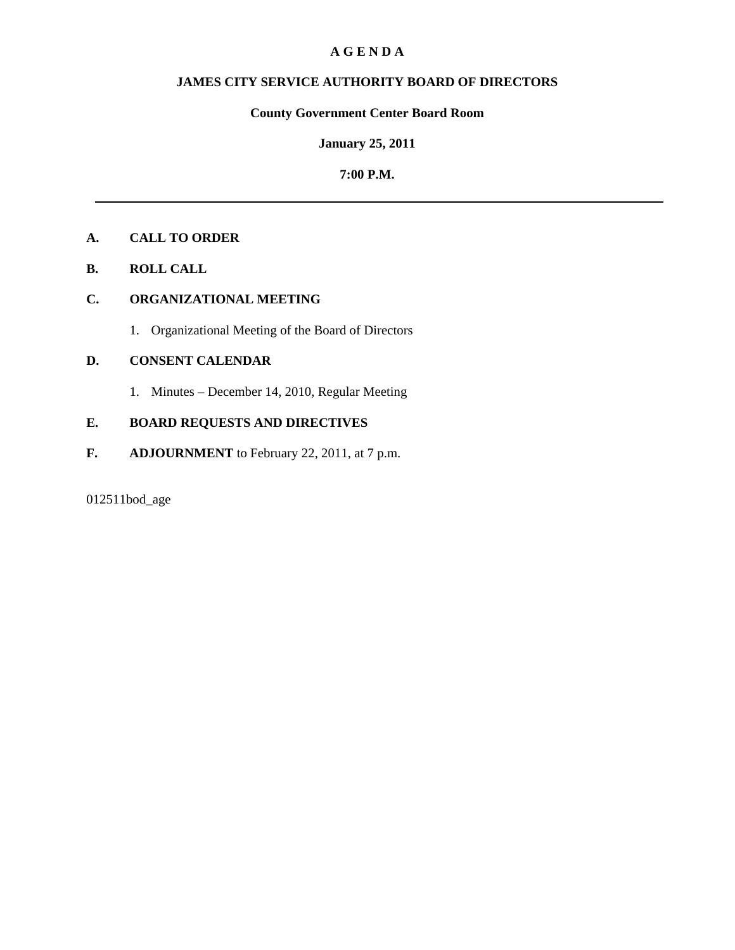#### **A G E N D A**

## **JAMES CITY SERVICE AUTHORITY BOARD OF DIRECTORS**

## **County Government Center Board Room**

#### **January 25, 2011**

#### **7:00 P.M.**

## **A. CALL TO ORDER**

**B. ROLL CALL** 

## **C. ORGANIZATIONAL MEETING**

1. Organizational Meeting of the Board of Directors

## **D. CONSENT CALENDAR**

1. Minutes – December 14, 2010, Regular Meeting

## **E. BOARD REQUESTS AND DIRECTIVES**

**F. ADJOURNMENT** to February 22, 2011, at 7 p.m.

## 012511bod\_age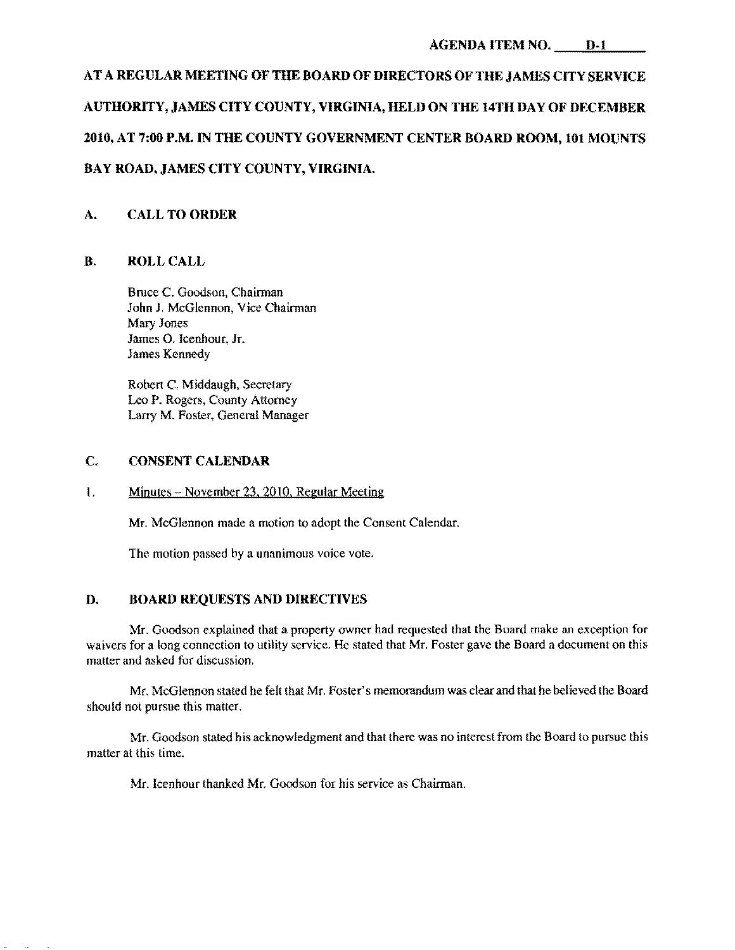# AT A REGULAR MEETING OF THE BOARD OF DIRECTORS OF THE JAMES CITY SERVICE AUTHORITY, JAMES CITY COUNTY, VIRGINIA, HELD ON THE 14TH DAY OF DECEMBER 2010, AT 7:00 P.M. IN THE COUNTY GOVERNMENT CENTER BOARD ROOM, 101 MOUNTS BAY ROAD, JAMES CITY COUNTY, VIRGINIA.

## A. CALL TO ORDER

#### B. ROLL CALL

Bruce C. Goodson, Chairman John J, McGlennon, Vice Chairman Mary Jones James O. Icenhour. Jr. James Kennedy

Robert C. Middaugh, Secretary Leo P. Rogers. County Attorney Larry M. Foster. General Manager

#### C. CONSENT CALENDAR

#### $I.$  Minutes – November 23, 2010, Regular Meeting

Mr. McGlennon made a motion to adopt the Consent Calendar.

The motion passed by a unanimous voice vote.

#### D. BOARD REQUESTS AND DIRECTIVES

Mr. Goodson explained that a property owner had requested that the Board make an exception for waivers for a long connection to utility service. He stated that Mr. Foster gave the Board a document on this matter and asked for discussion.

Mr. McGlennon stated he felt that Mr. Foster's memorandum was clear and that he believed the Board should not pursue this matter.

Mr. Goodson stated his acknowledgment and that there was no interest from the Board to pursue this matter at this time.

Mr. Icenhour thanked Mr. Goodson for his service as Chairman.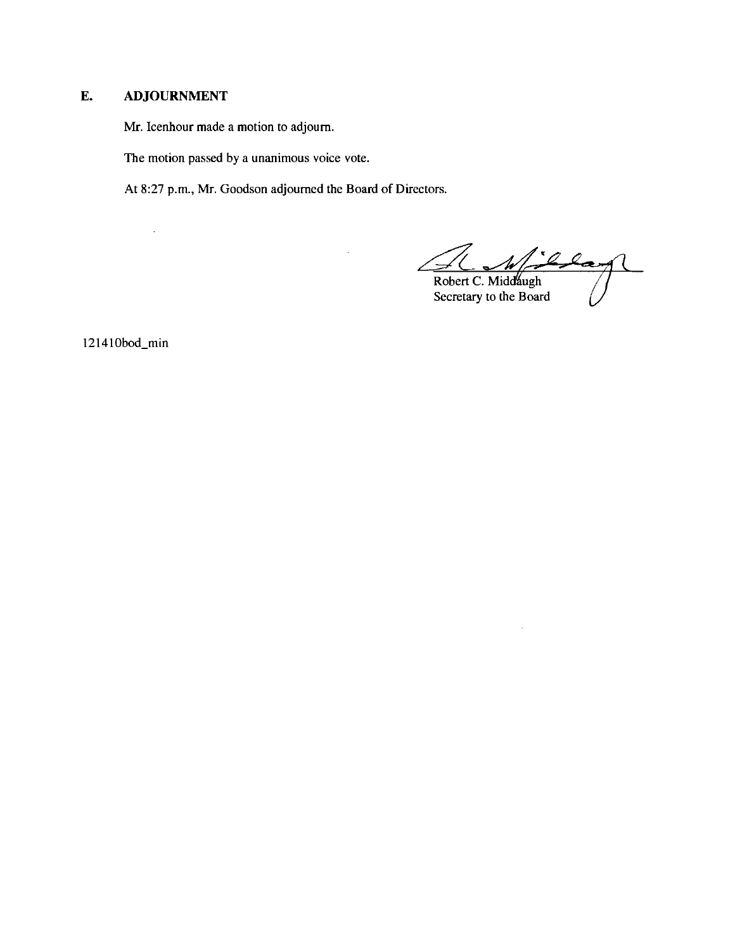## E. **ADJOURNMENT**

 $\bar{\mathcal{A}}$ 

Mr. Icenhour made a motion to adjourn.

The motion passed by a unanimous voice vote.

At 8:27 p.m., Mr. Goodson adjourned the Board of Directors.

d Blag

 $\ddot{\phantom{a}}$ 

Robert C. Middáugh Secretary to the Board

121410bod\_min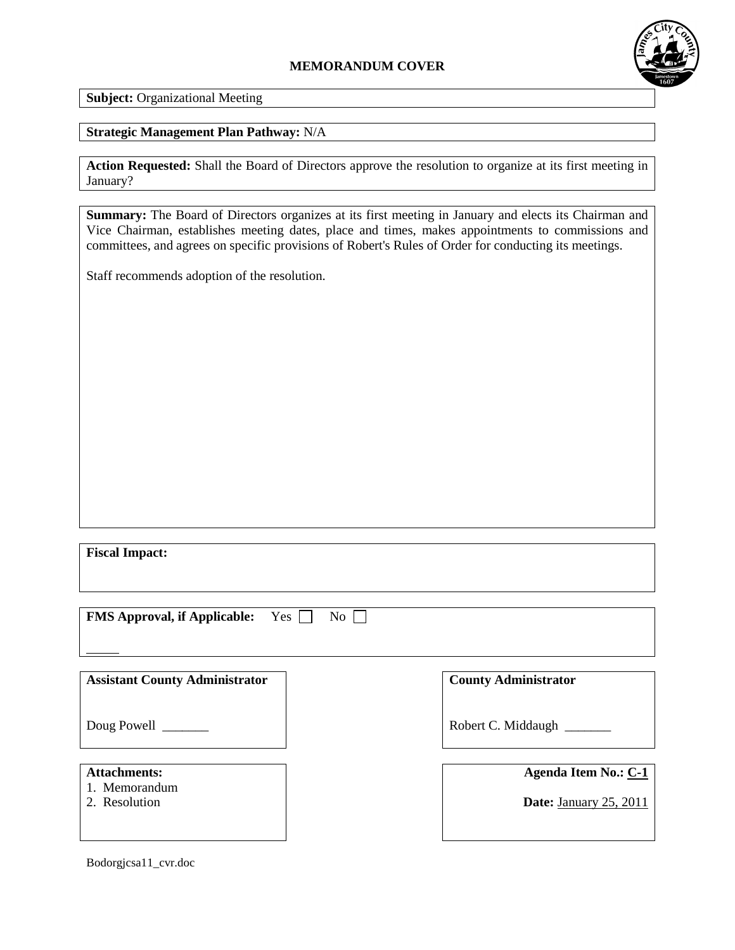## **MEMORANDUM COVER**



**Subject:** Organizational Meeting

## **Strategic Management Plan Pathway:** N/A

**Action Requested:** Shall the Board of Directors approve the resolution to organize at its first meeting in January?

**Summary:** The Board of Directors organizes at its first meeting in January and elects its Chairman and Vice Chairman, establishes meeting dates, place and times, makes appointments to commissions and committees, and agrees on specific provisions of Robert's Rules of Order for conducting its meetings.

Staff recommends adoption of the resolution.

**Fiscal Impact:**

**FMS Approval, if Applicable:** Yes  $\Box$  No  $\Box$ 

**Assistant County Administrator**

Doug Powell \_\_\_\_\_\_\_

- **Attachments:**
- 1. Memorandum
- 2. Resolution

**County Administrator**

Robert C. Middaugh \_\_\_\_\_\_\_

**Agenda Item No.: C-1**

**Date:** January 25, 2011

Bodorgjcsa11\_cvr.doc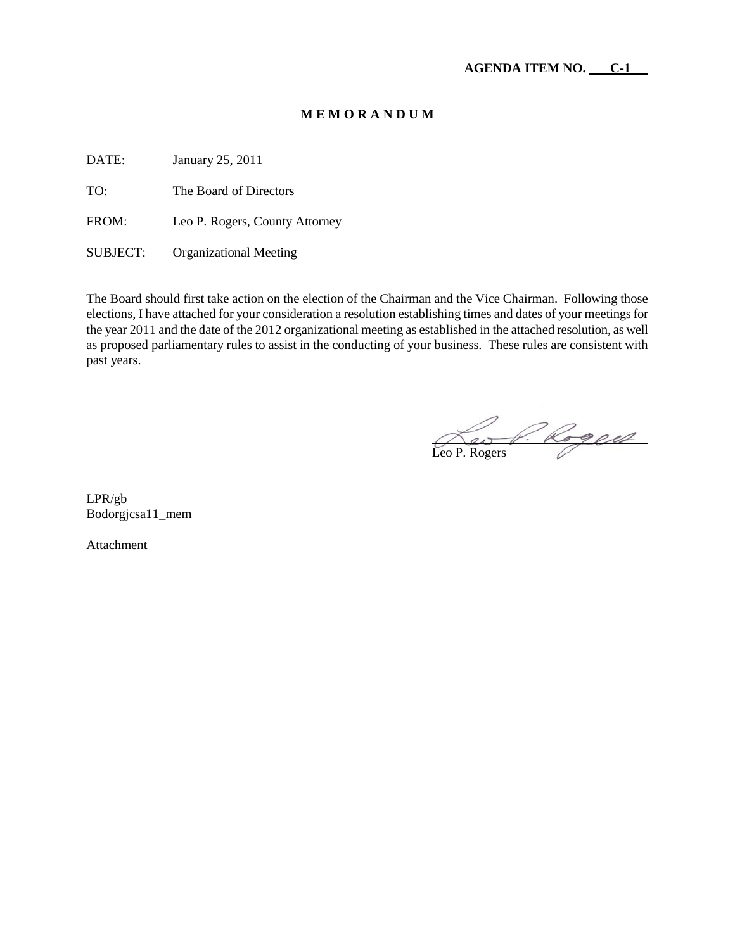## **M E M O R A N D U M**

DATE: January 25, 2011

TO: The Board of Directors

FROM: Leo P. Rogers, County Attorney

SUBJECT: Organizational Meeting

The Board should first take action on the election of the Chairman and the Vice Chairman. Following those elections, I have attached for your consideration a resolution establishing times and dates of your meetings for the year 2011 and the date of the 2012 organizational meeting as established in the attached resolution, as well as proposed parliamentary rules to assist in the conducting of your business. These rules are consistent with past years.

Leo P. Rogers

LPR/gb Bodorgjcsa11\_mem

Attachment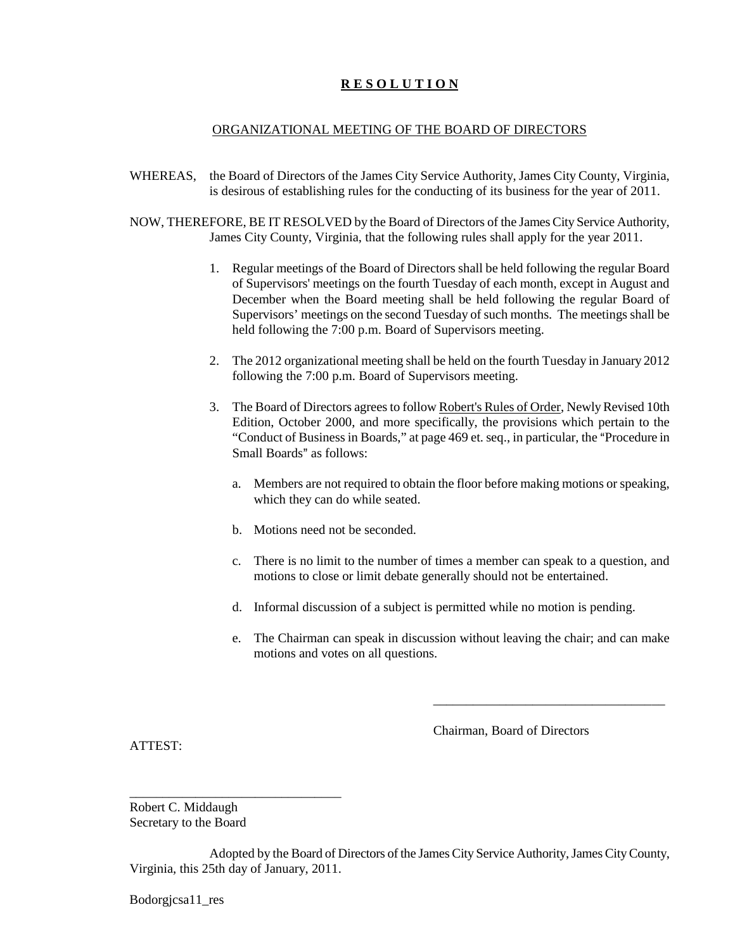## **R E S O L U T I O N**

#### ORGANIZATIONAL MEETING OF THE BOARD OF DIRECTORS

- WHEREAS, the Board of Directors of the James City Service Authority, James City County, Virginia, is desirous of establishing rules for the conducting of its business for the year of 2011.
- NOW, THEREFORE, BE IT RESOLVED by the Board of Directors of the James City Service Authority, James City County, Virginia, that the following rules shall apply for the year 2011.
	- 1. Regular meetings of the Board of Directors shall be held following the regular Board of Supervisors' meetings on the fourth Tuesday of each month, except in August and December when the Board meeting shall be held following the regular Board of Supervisors' meetings on the second Tuesday of such months. The meetings shall be held following the 7:00 p.m. Board of Supervisors meeting.
	- 2. The 2012 organizational meeting shall be held on the fourth Tuesday in January 2012 following the 7:00 p.m. Board of Supervisors meeting.
	- 3. The Board of Directors agrees to follow Robert's Rules of Order, Newly Revised 10th Edition, October 2000, and more specifically, the provisions which pertain to the "Conduct of Business in Boards," at page 469 et. seq., in particular, the "Procedure in Small Boards" as follows:
		- a. Members are not required to obtain the floor before making motions or speaking, which they can do while seated.
		- b. Motions need not be seconded.
		- c. There is no limit to the number of times a member can speak to a question, and motions to close or limit debate generally should not be entertained.
		- d. Informal discussion of a subject is permitted while no motion is pending.
		- e. The Chairman can speak in discussion without leaving the chair; and can make motions and votes on all questions.

Chairman, Board of Directors

\_\_\_\_\_\_\_\_\_\_\_\_\_\_\_\_\_\_\_\_\_\_\_\_\_\_\_\_\_\_\_\_\_\_\_

ATTEST:

Robert C. Middaugh Secretary to the Board

\_\_\_\_\_\_\_\_\_\_\_\_\_\_\_\_\_\_\_\_\_\_\_\_\_\_\_\_\_\_\_\_

Adopted by the Board of Directors of the James City Service Authority, James City County, Virginia, this 25th day of January, 2011.

Bodorgjcsa11\_res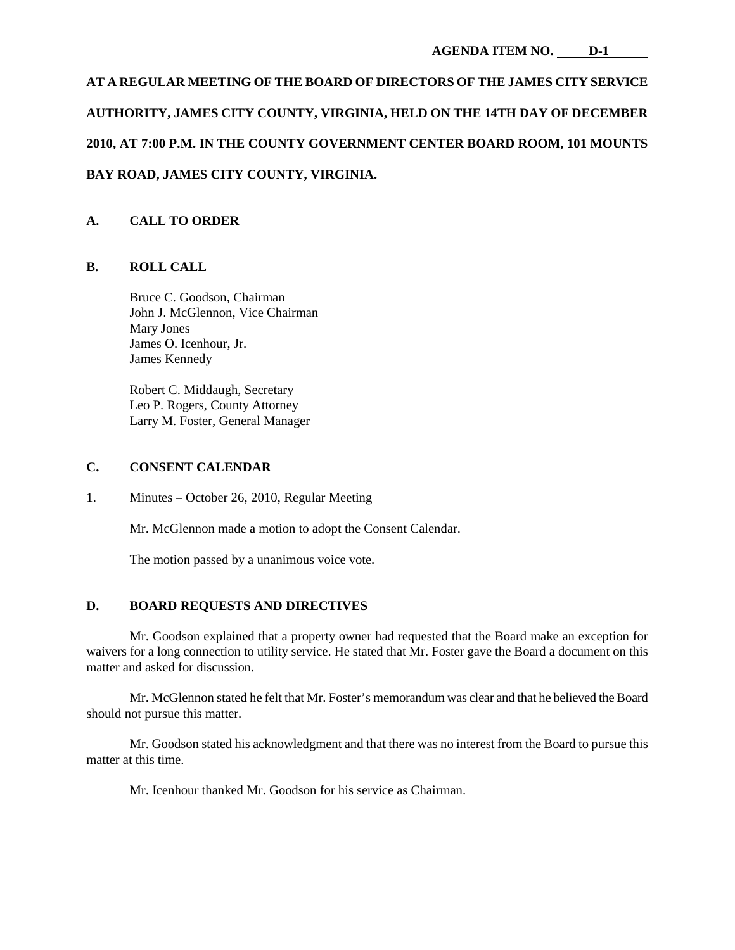# **AT A REGULAR MEETING OF THE BOARD OF DIRECTORS OF THE JAMES CITY SERVICE AUTHORITY, JAMES CITY COUNTY, VIRGINIA, HELD ON THE 14TH DAY OF DECEMBER 2010, AT 7:00 P.M. IN THE COUNTY GOVERNMENT CENTER BOARD ROOM, 101 MOUNTS BAY ROAD, JAMES CITY COUNTY, VIRGINIA.**

## **A. CALL TO ORDER**

## **B. ROLL CALL**

Bruce C. Goodson, Chairman John J. McGlennon, Vice Chairman Mary Jones James O. Icenhour, Jr. James Kennedy

Robert C. Middaugh, Secretary Leo P. Rogers, County Attorney Larry M. Foster, General Manager

#### **C. CONSENT CALENDAR**

1. Minutes – October 26, 2010, Regular Meeting

Mr. McGlennon made a motion to adopt the Consent Calendar.

The motion passed by a unanimous voice vote.

#### **D. BOARD REQUESTS AND DIRECTIVES**

Mr. Goodson explained that a property owner had requested that the Board make an exception for waivers for a long connection to utility service. He stated that Mr. Foster gave the Board a document on this matter and asked for discussion.

Mr. McGlennon stated he felt that Mr. Foster's memorandum was clear and that he believed the Board should not pursue this matter.

Mr. Goodson stated his acknowledgment and that there was no interest from the Board to pursue this matter at this time.

Mr. Icenhour thanked Mr. Goodson for his service as Chairman.